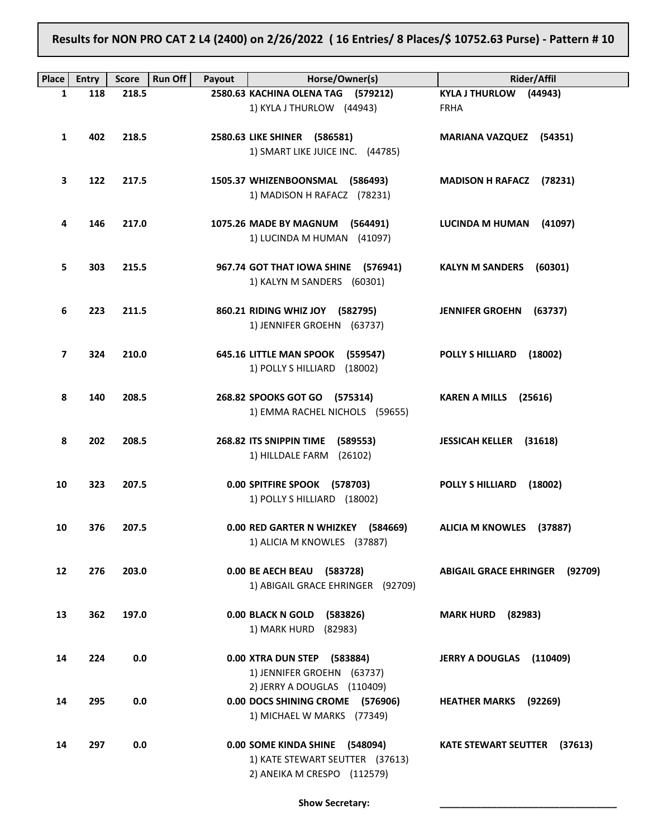Results for NON PRO CAT 2 L4 (2400) on 2/26/2022 ( 16 Entries/ 8 Places/\$ 10752.63 Purse) - Pattern # 10

| Place             | <b>Entry</b> | <b>Run Off</b><br><b>Score</b> | Payout | Horse/Owner(s)                      | <b>Rider/Affil</b>                       |
|-------------------|--------------|--------------------------------|--------|-------------------------------------|------------------------------------------|
| 1                 | 118          | 218.5                          |        | 2580.63 KACHINA OLENA TAG (579212)  | KYLA J THURLOW (44943)                   |
|                   |              |                                |        | 1) KYLA J THURLOW (44943)           | <b>FRHA</b>                              |
|                   |              |                                |        |                                     |                                          |
| 1                 | 402          | 218.5                          |        | 2580.63 LIKE SHINER (586581)        | <b>MARIANA VAZQUEZ (54351)</b>           |
|                   |              |                                |        | 1) SMART LIKE JUICE INC. (44785)    |                                          |
|                   |              |                                |        |                                     |                                          |
| 3                 | 122          | 217.5                          |        | 1505.37 WHIZENBOONSMAL (586493)     | <b>MADISON H RAFACZ</b><br>(78231)       |
|                   |              |                                |        | 1) MADISON H RAFACZ (78231)         |                                          |
|                   |              |                                |        |                                     |                                          |
| 4                 | 146          | 217.0                          |        | 1075.26 MADE BY MAGNUM (564491)     | LUCINDA M HUMAN<br>(41097)               |
|                   |              |                                |        | 1) LUCINDA M HUMAN (41097)          |                                          |
|                   |              |                                |        |                                     |                                          |
| 5                 | 303          | 215.5                          |        | 967.74 GOT THAT IOWA SHINE (576941) | <b>KALYN M SANDERS</b><br>(60301)        |
|                   |              |                                |        | 1) KALYN M SANDERS (60301)          |                                          |
|                   |              |                                |        |                                     |                                          |
| 6                 | 223          | 211.5                          |        | 860.21 RIDING WHIZ JOY (582795)     | <b>JENNIFER GROEHN</b><br>(63737)        |
|                   |              |                                |        | 1) JENNIFER GROEHN (63737)          |                                          |
|                   |              |                                |        |                                     |                                          |
| 7                 | 324          | 210.0                          |        | 645.16 LITTLE MAN SPOOK (559547)    | <b>POLLY S HILLIARD</b><br>(18002)       |
|                   |              |                                |        | 1) POLLY S HILLIARD (18002)         |                                          |
|                   |              |                                |        |                                     |                                          |
| 8                 | 140          | 208.5                          |        | 268.82 SPOOKS GOT GO (575314)       | <b>KAREN A MILLS</b><br>(25616)          |
|                   |              |                                |        | 1) EMMA RACHEL NICHOLS (59655)      |                                          |
|                   |              |                                |        |                                     |                                          |
| 8                 | 202          | 208.5                          |        | 268.82 ITS SNIPPIN TIME<br>(589553) | <b>JESSICAH KELLER (31618)</b>           |
|                   |              |                                |        | 1) HILLDALE FARM (26102)            |                                          |
|                   |              |                                |        |                                     |                                          |
| 10                | 323          | 207.5                          |        | 0.00 SPITFIRE SPOOK (578703)        | <b>POLLY S HILLIARD</b><br>(18002)       |
|                   |              |                                |        | 1) POLLY S HILLIARD (18002)         |                                          |
| 10                | 376          | 207.5                          |        | 0.00 RED GARTER N WHIZKEY (584669)  | ALICIA M KNOWLES (37887)                 |
|                   |              |                                |        | 1) ALICIA M KNOWLES (37887)         |                                          |
|                   |              |                                |        |                                     |                                          |
| $12 \overline{ }$ | 276          | 203.0                          |        | 0.00 BE AECH BEAU (583728)          | <b>ABIGAIL GRACE EHRINGER</b><br>(92709) |
|                   |              |                                |        | 1) ABIGAIL GRACE EHRINGER (92709)   |                                          |
|                   |              |                                |        |                                     |                                          |
| 13                | 362          | 197.0                          |        | 0.00 BLACK N GOLD<br>(583826)       | <b>MARK HURD</b> (82983)                 |
|                   |              |                                |        | 1) MARK HURD (82983)                |                                          |
|                   |              |                                |        |                                     |                                          |
| 14                | 224          | 0.0                            |        | 0.00 XTRA DUN STEP (583884)         | <b>JERRY A DOUGLAS</b><br>(110409)       |
|                   |              |                                |        | 1) JENNIFER GROEHN (63737)          |                                          |
|                   |              |                                |        | 2) JERRY A DOUGLAS (110409)         |                                          |
| 14                | 295          | 0.0                            |        | 0.00 DOCS SHINING CROME (576906)    | <b>HEATHER MARKS</b> (92269)             |
|                   |              |                                |        | 1) MICHAEL W MARKS (77349)          |                                          |
|                   |              |                                |        |                                     |                                          |
| 14                | 297          | 0.0                            |        | 0.00 SOME KINDA SHINE (548094)      | <b>KATE STEWART SEUTTER (37613)</b>      |
|                   |              |                                |        | 1) KATE STEWART SEUTTER (37613)     |                                          |
|                   |              |                                |        | 2) ANEIKA M CRESPO (112579)         |                                          |
|                   |              |                                |        |                                     |                                          |

Show Secretary: